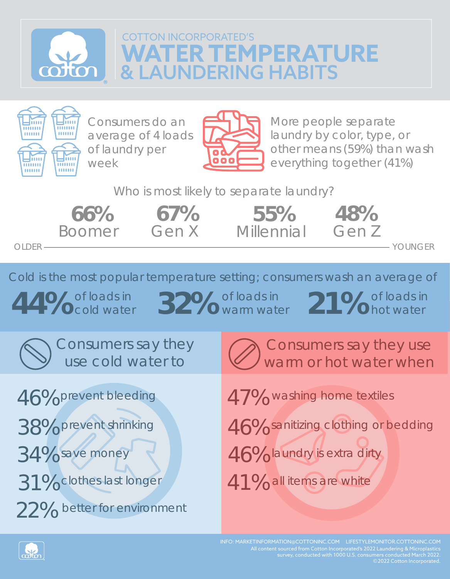## **WATER TEMPERATURE & LAUNDERING HABITS COTTON INCORPORATED'S**



Consumers do an average of 4 loads of laundry per week



More people separate laundry by color, type, or other means (59%) than wash everything together (41%)

Who is most likely to separate laundry?